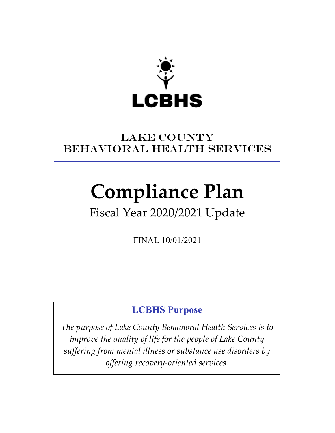

### LAKE COUNTY BEHAVIORAL Health SERVICES

# **Compliance Plan**

## Fiscal Year 2020/2021 Update

FINAL 10/01/2021

### **LCBHS Purpose**

*The purpose of Lake County Behavioral Health Services is to improve the quality of life for the people of Lake County suffering from mental illness or substance use disorders by offering recovery-oriented services.*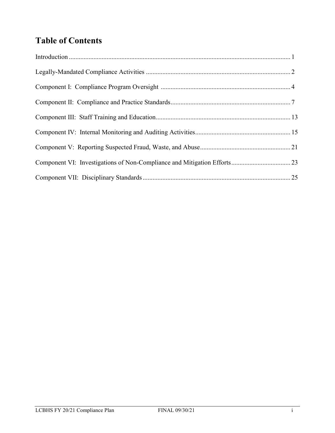### **Table of Contents**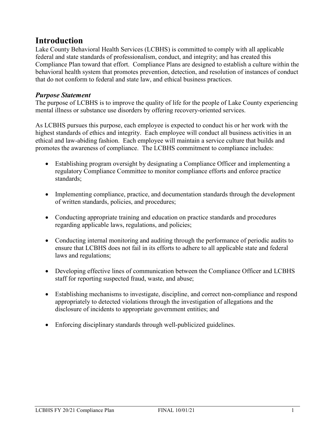### **Introduction**

Lake County Behavioral Health Services (LCBHS) is committed to comply with all applicable federal and state standards of professionalism, conduct, and integrity; and has created this Compliance Plan toward that effort. Compliance Plans are designed to establish a culture within the behavioral health system that promotes prevention, detection, and resolution of instances of conduct that do not conform to federal and state law, and ethical business practices.

#### *Purpose Statement*

The purpose of LCBHS is to improve the quality of life for the people of Lake County experiencing mental illness or substance use disorders by offering recovery-oriented services.

As LCBHS pursues this purpose, each employee is expected to conduct his or her work with the highest standards of ethics and integrity. Each employee will conduct all business activities in an ethical and law-abiding fashion. Each employee will maintain a service culture that builds and promotes the awareness of compliance. The LCBHS commitment to compliance includes:

- Establishing program oversight by designating a Compliance Officer and implementing a regulatory Compliance Committee to monitor compliance efforts and enforce practice standards;
- Implementing compliance, practice, and documentation standards through the development of written standards, policies, and procedures;
- Conducting appropriate training and education on practice standards and procedures regarding applicable laws, regulations, and policies;
- Conducting internal monitoring and auditing through the performance of periodic audits to ensure that LCBHS does not fail in its efforts to adhere to all applicable state and federal laws and regulations;
- Developing effective lines of communication between the Compliance Officer and LCBHS staff for reporting suspected fraud, waste, and abuse;
- Establishing mechanisms to investigate, discipline, and correct non-compliance and respond appropriately to detected violations through the investigation of allegations and the disclosure of incidents to appropriate government entities; and
- Enforcing disciplinary standards through well-publicized guidelines.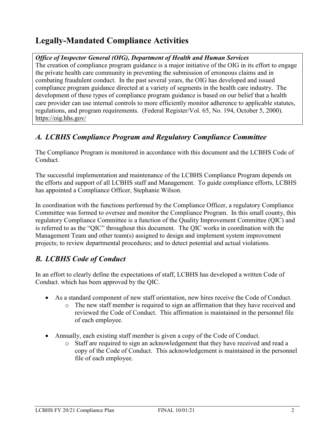### **Legally-Mandated Compliance Activities**

#### *Office of Inspector General (OIG), Department of Health and Human Services*

The creation of compliance program guidance is a major initiative of the OIG in its effort to engage the private health care community in preventing the submission of erroneous claims and in combating fraudulent conduct. In the past several years, the OIG has developed and issued compliance program guidance directed at a variety of segments in the health care industry. The development of these types of compliance program guidance is based on our belief that a health care provider can use internal controls to more efficiently monitor adherence to applicable statutes, regulations, and program requirements. (Federal Register/Vol. 65, No. 194, October 5, 2000). https://oig.hhs.gov/

### *A. LCBHS Compliance Program and Regulatory Compliance Committee*

The Compliance Program is monitored in accordance with this document and the LCBHS Code of Conduct.

The successful implementation and maintenance of the LCBHS Compliance Program depends on the efforts and support of all LCBHS staff and Management. To guide compliance efforts, LCBHS has appointed a Compliance Officer, Stephanie Wilson.

In coordination with the functions performed by the Compliance Officer, a regulatory Compliance Committee was formed to oversee and monitor the Compliance Program. In this small county, this regulatory Compliance Committee is a function of the Quality Improvement Committee (QIC) and is referred to as the "QIC" throughout this document. The QIC works in coordination with the Management Team and other team(s) assigned to design and implement system improvement projects; to review departmental procedures; and to detect potential and actual violations.

### *B. LCBHS Code of Conduct*

In an effort to clearly define the expectations of staff, LCBHS has developed a written Code of Conduct. which has been approved by the QIC.

- As a standard component of new staff orientation, new hires receive the Code of Conduct.
	- o The new staff member is required to sign an affirmation that they have received and reviewed the Code of Conduct. This affirmation is maintained in the personnel file of each employee.
- Annually, each existing staff member is given a copy of the Code of Conduct.
	- o Staff are required to sign an acknowledgement that they have received and read a copy of the Code of Conduct. This acknowledgement is maintained in the personnel file of each employee.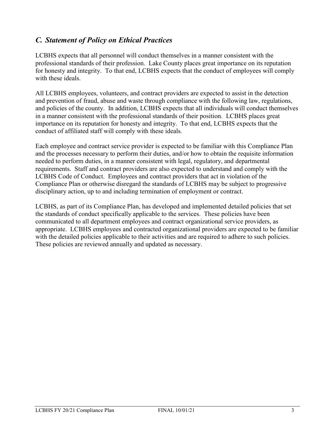### *C. Statement of Policy on Ethical Practices*

LCBHS expects that all personnel will conduct themselves in a manner consistent with the professional standards of their profession. Lake County places great importance on its reputation for honesty and integrity. To that end, LCBHS expects that the conduct of employees will comply with these ideals.

All LCBHS employees, volunteers, and contract providers are expected to assist in the detection and prevention of fraud, abuse and waste through compliance with the following law, regulations, and policies of the county. In addition, LCBHS expects that all individuals will conduct themselves in a manner consistent with the professional standards of their position. LCBHS places great importance on its reputation for honesty and integrity. To that end, LCBHS expects that the conduct of affiliated staff will comply with these ideals.

Each employee and contract service provider is expected to be familiar with this Compliance Plan and the processes necessary to perform their duties, and/or how to obtain the requisite information needed to perform duties, in a manner consistent with legal, regulatory, and departmental requirements. Staff and contract providers are also expected to understand and comply with the LCBHS Code of Conduct.Employees and contract providers that act in violation of the Compliance Plan or otherwise disregard the standards of LCBHS may be subject to progressive disciplinary action, up to and including termination of employment or contract.

LCBHS, as part of its Compliance Plan, has developed and implemented detailed policies that set the standards of conduct specifically applicable to the services. These policies have been communicated to all department employees and contract organizational service providers, as appropriate. LCBHS employees and contracted organizational providers are expected to be familiar with the detailed policies applicable to their activities and are required to adhere to such policies. These policies are reviewed annually and updated as necessary.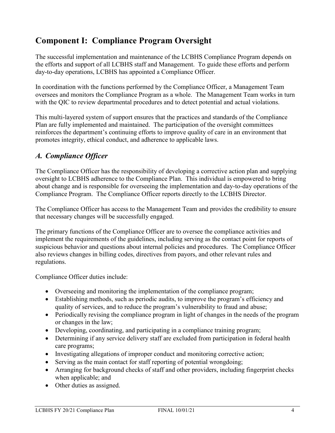### **Component I: Compliance Program Oversight**

The successful implementation and maintenance of the LCBHS Compliance Program depends on the efforts and support of all LCBHS staff and Management. To guide these efforts and perform day-to-day operations, LCBHS has appointed a Compliance Officer.

In coordination with the functions performed by the Compliance Officer, a Management Team oversees and monitors the Compliance Program as a whole. The Management Team works in turn with the QIC to review departmental procedures and to detect potential and actual violations.

This multi-layered system of support ensures that the practices and standards of the Compliance Plan are fully implemented and maintained. The participation of the oversight committees reinforces the department's continuing efforts to improve quality of care in an environment that promotes integrity, ethical conduct, and adherence to applicable laws.

### *A. Compliance Officer*

The Compliance Officer has the responsibility of developing a corrective action plan and supplying oversight to LCBHS adherence to the Compliance Plan. This individual is empowered to bring about change and is responsible for overseeing the implementation and day-to-day operations of the Compliance Program. The Compliance Officer reports directly to the LCBHS Director.

The Compliance Officer has access to the Management Team and provides the credibility to ensure that necessary changes will be successfully engaged.

The primary functions of the Compliance Officer are to oversee the compliance activities and implement the requirements of the guidelines, including serving as the contact point for reports of suspicious behavior and questions about internal policies and procedures. The Compliance Officer also reviews changes in billing codes, directives from payors, and other relevant rules and regulations.

Compliance Officer duties include:

- Overseeing and monitoring the implementation of the compliance program;
- Establishing methods, such as periodic audits, to improve the program's efficiency and quality of services, and to reduce the program's vulnerability to fraud and abuse;
- Periodically revising the compliance program in light of changes in the needs of the program or changes in the law;
- Developing, coordinating, and participating in a compliance training program;
- Determining if any service delivery staff are excluded from participation in federal health care programs;
- Investigating allegations of improper conduct and monitoring corrective action;
- Serving as the main contact for staff reporting of potential wrongdoing;
- Arranging for background checks of staff and other providers, including fingerprint checks when applicable; and
- Other duties as assigned.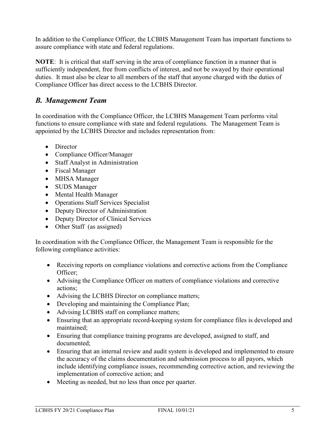In addition to the Compliance Officer, the LCBHS Management Team has important functions to assure compliance with state and federal regulations.

**NOTE**: It is critical that staff serving in the area of compliance function in a manner that is sufficiently independent, free from conflicts of interest, and not be swayed by their operational duties. It must also be clear to all members of the staff that anyone charged with the duties of Compliance Officer has direct access to the LCBHS Director.

### *B. Management Team*

In coordination with the Compliance Officer, the LCBHS Management Team performs vital functions to ensure compliance with state and federal regulations. The Management Team is appointed by the LCBHS Director and includes representation from:

- Director
- Compliance Officer/Manager
- Staff Analyst in Administration
- Fiscal Manager
- MHSA Manager
- SUDS Manager
- Mental Health Manager
- Operations Staff Services Specialist
- Deputy Director of Administration
- Deputy Director of Clinical Services
- Other Staff (as assigned)

In coordination with the Compliance Officer, the Management Team is responsible for the following compliance activities:

- Receiving reports on compliance violations and corrective actions from the Compliance Officer;
- Advising the Compliance Officer on matters of compliance violations and corrective actions;
- Advising the LCBHS Director on compliance matters;
- Developing and maintaining the Compliance Plan;
- Advising LCBHS staff on compliance matters;
- Ensuring that an appropriate record-keeping system for compliance files is developed and maintained;
- Ensuring that compliance training programs are developed, assigned to staff, and documented;
- Ensuring that an internal review and audit system is developed and implemented to ensure the accuracy of the claims documentation and submission process to all payors, which include identifying compliance issues, recommending corrective action, and reviewing the implementation of corrective action; and
- Meeting as needed, but no less than once per quarter.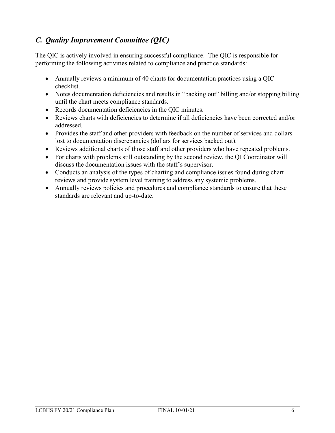### *C. Quality Improvement Committee (QIC)*

The QIC is actively involved in ensuring successful compliance. The QIC is responsible for performing the following activities related to compliance and practice standards:

- Annually reviews a minimum of 40 charts for documentation practices using a QIC checklist.
- Notes documentation deficiencies and results in "backing out" billing and/or stopping billing until the chart meets compliance standards.
- Records documentation deficiencies in the QIC minutes.
- Reviews charts with deficiencies to determine if all deficiencies have been corrected and/or addressed.
- Provides the staff and other providers with feedback on the number of services and dollars lost to documentation discrepancies (dollars for services backed out).
- Reviews additional charts of those staff and other providers who have repeated problems.
- For charts with problems still outstanding by the second review, the QI Coordinator will discuss the documentation issues with the staff's supervisor.
- Conducts an analysis of the types of charting and compliance issues found during chart reviews and provide system level training to address any systemic problems.
- Annually reviews policies and procedures and compliance standards to ensure that these standards are relevant and up-to-date.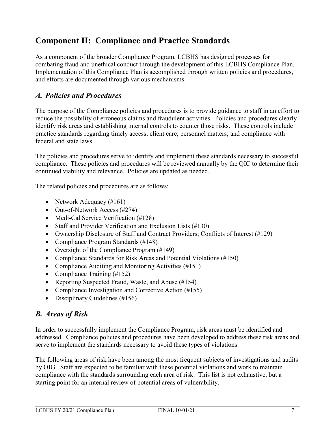### **Component II: Compliance and Practice Standards**

As a component of the broader Compliance Program, LCBHS has designed processes for combating fraud and unethical conduct through the development of this LCBHS Compliance Plan. Implementation of this Compliance Plan is accomplished through written policies and procedures, and efforts are documented through various mechanisms.

### *A. Policies and Procedures*

The purpose of the Compliance policies and procedures is to provide guidance to staff in an effort to reduce the possibility of erroneous claims and fraudulent activities. Policies and procedures clearly identify risk areas and establishing internal controls to counter those risks. These controls include practice standards regarding timely access; client care; personnel matters; and compliance with federal and state laws.

The policies and procedures serve to identify and implement these standards necessary to successful compliance. These policies and procedures will be reviewed annually by the QIC to determine their continued viability and relevance. Policies are updated as needed.

The related policies and procedures are as follows:

- Network Adequacy (#161)
- Out-of-Network Access (#274)
- Medi-Cal Service Verification (#128)
- Staff and Provider Verification and Exclusion Lists (#130)
- Ownership Disclosure of Staff and Contract Providers; Conflicts of Interest (#129)
- Compliance Program Standards (#148)
- Oversight of the Compliance Program (#149)
- Compliance Standards for Risk Areas and Potential Violations (#150)
- Compliance Auditing and Monitoring Activities (#151)
- Compliance Training (#152)
- Reporting Suspected Fraud, Waste, and Abuse (#154)
- Compliance Investigation and Corrective Action (#155)
- Disciplinary Guidelines (#156)

#### *B. Areas of Risk*

In order to successfully implement the Compliance Program, risk areas must be identified and addressed. Compliance policies and procedures have been developed to address these risk areas and serve to implement the standards necessary to avoid these types of violations.

The following areas of risk have been among the most frequent subjects of investigations and audits by OIG. Staff are expected to be familiar with these potential violations and work to maintain compliance with the standards surrounding each area of risk. This list is not exhaustive, but a starting point for an internal review of potential areas of vulnerability.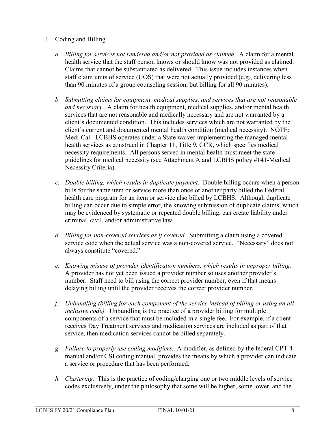#### 1. Coding and Billing

- *a. Billing for services not rendered and/or not provided as claimed.* A claim for a mental health service that the staff person knows or should know was not provided as claimed. Claims that cannot be substantiated as delivered. This issue includes instances when staff claim units of service (UOS) that were not actually provided (e.g., delivering less than 90 minutes of a group counseling session, but billing for all 90 minutes).
- *b. Submitting claims for equipment, medical supplies, and services that are not reasonable and necessary.* A claim for health equipment, medical supplies, and/or mental health services that are not reasonable and medically necessary and are not warranted by a client's documented condition. This includes services which are not warranted by the client's current and documented mental health condition (medical necessity). NOTE: Medi-Cal: LCBHS operates under a State waiver implementing the managed mental health services as construed in Chapter 11, Title 9, CCR, which specifies medical necessity requirements. All persons served in mental health must meet the state guidelines for medical necessity (see Attachment A and LCBHS policy #141-Medical Necessity Criteria).
- *c. Double billing, which results in duplicate payment.* Double billing occurs when a person bills for the same item or service more than once or another party billed the Federal health care program for an item or service also billed by LCBHS. Although duplicate billing can occur due to simple error, the knowing submission of duplicate claims, which may be evidenced by systematic or repeated double billing, can create liability under criminal, civil, and/or administrative law.
- *d. Billing for non-covered services as if covered.* Submitting a claim using a covered service code when the actual service was a non-covered service. "Necessary" does not always constitute "covered."
- *e. Knowing misuse of provider identification numbers, which results in improper billing.*  A provider has not yet been issued a provider number so uses another provider's number. Staff need to bill using the correct provider number, even if that means delaying billing until the provider receives the correct provider number.
- *f. Unbundling (billing for each component of the service instead of billing or using an allinclusive code).* Unbundling is the practice of a provider billing for multiple components of a service that must be included in a single fee. For example, if a client receives Day Treatment services and medication services are included as part of that service, then medication services cannot be billed separately.
- *g. Failure to properly use coding modifiers.* A modifier, as defined by the federal CPT-4 manual and/or CSI coding manual, provides the means by which a provider can indicate a service or procedure that has been performed.
- *h. Clustering.* This is the practice of coding/charging one or two middle levels of service codes exclusively, under the philosophy that some will be higher, some lower, and the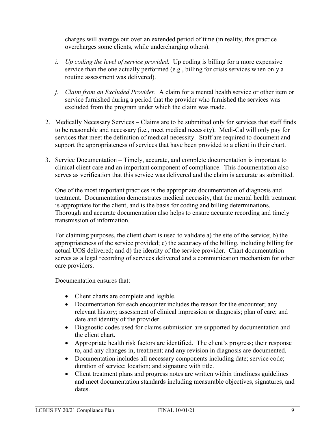charges will average out over an extended period of time (in reality, this practice overcharges some clients, while undercharging others).

- *i. Up coding the level of service provided.* Up coding is billing for a more expensive service than the one actually performed (e.g., billing for crisis services when only a routine assessment was delivered).
- *j. Claim from an Excluded Provider.* A claim for a mental health service or other item or service furnished during a period that the provider who furnished the services was excluded from the program under which the claim was made.
- 2. Medically Necessary Services Claims are to be submitted only for services that staff finds to be reasonable and necessary (i.e., meet medical necessity). Medi-Cal will only pay for services that meet the definition of medical necessity. Staff are required to document and support the appropriateness of services that have been provided to a client in their chart.
- 3. Service Documentation Timely, accurate, and complete documentation is important to clinical client care and an important component of compliance. This documentation also serves as verification that this service was delivered and the claim is accurate as submitted.

One of the most important practices is the appropriate documentation of diagnosis and treatment. Documentation demonstrates medical necessity, that the mental health treatment is appropriate for the client, and is the basis for coding and billing determinations. Thorough and accurate documentation also helps to ensure accurate recording and timely transmission of information.

For claiming purposes, the client chart is used to validate a) the site of the service; b) the appropriateness of the service provided; c) the accuracy of the billing, including billing for actual UOS delivered; and d) the identity of the service provider. Chart documentation serves as a legal recording of services delivered and a communication mechanism for other care providers.

Documentation ensures that:

- Client charts are complete and legible.
- Documentation for each encounter includes the reason for the encounter; any relevant history; assessment of clinical impression or diagnosis; plan of care; and date and identity of the provider.
- Diagnostic codes used for claims submission are supported by documentation and the client chart.
- Appropriate health risk factors are identified. The client's progress; their response to, and any changes in, treatment; and any revision in diagnosis are documented.
- Documentation includes all necessary components including date; service code; duration of service; location; and signature with title.
- Client treatment plans and progress notes are written within timeliness guidelines and meet documentation standards including measurable objectives, signatures, and dates.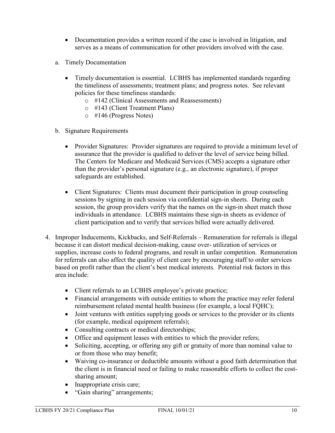- Documentation provides a written record if the case is involved in litigation, and serves as a means of communication for other providers involved with the case.
- a. Timely Documentation
	- Timely documentation is essential. LCBHS has implemented standards regarding the timeliness of assessments; treatment plans; and progress notes. See relevant policies for these timeliness standards:
		- o #142 (Clinical Assessments and Reassessments)
		- o #143 (Client Treatment Plans)
		- o #146 (Progress Notes)
- b. Signature Requirements
	- Provider Signatures: Provider signatures are required to provide a minimum level of assurance that the provider is qualified to deliver the level of service being billed. The Centers for Medicare and Medicaid Services (CMS) accepts a signature other than the provider's personal signature (e.g., an electronic signature), if proper safeguards are established.
	- Client Signatures: Clients must document their participation in group counseling sessions by signing in each session via confidential sign-in sheets. During each session, the group providers verify that the names on the sign-in sheet match those individuals in attendance. LCBHS maintains these sign-in sheets as evidence of client participation and to verify that services billed were actually delivered.
- 4. Improper Inducements, Kickbacks, and Self-Referrals Remuneration for referrals is illegal because it can distort medical decision-making, cause over- utilization of services or supplies, increase costs to federal programs, and result in unfair competition. Remuneration for referrals can also affect the quality of client care by encouraging staff to order services based on profit rather than the client's best medical interests. Potential risk factors in this area include:
	- Client referrals to an LCBHS employee's private practice;
	- Financial arrangements with outside entities to whom the practice may refer federal reimbursement related mental health business (for example, a local FQHC);
	- Joint ventures with entities supplying goods or services to the provider or its clients (for example, medical equipment referrals);
	- Consulting contracts or medical directorships;
	- Office and equipment leases with entities to which the provider refers;
	- Soliciting, accepting, or offering any gift or gratuity of more than nominal value to or from those who may benefit;
	- Waiving co-insurance or deductible amounts without a good faith determination that the client is in financial need or failing to make reasonable efforts to collect the costsharing amount;
	- Inappropriate crisis care;
	- "Gain sharing" arrangements;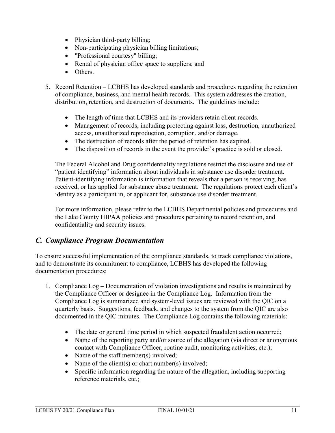- Physician third-party billing;
- Non-participating physician billing limitations;
- "Professional courtesy" billing;
- Rental of physician office space to suppliers; and
- Others.
- 5. Record Retention LCBHS has developed standards and procedures regarding the retention of compliance, business, and mental health records. This system addresses the creation, distribution, retention, and destruction of documents. The guidelines include:
	- The length of time that LCBHS and its providers retain client records.
	- Management of records, including protecting against loss, destruction, unauthorized access, unauthorized reproduction, corruption, and/or damage.
	- The destruction of records after the period of retention has expired.
	- The disposition of records in the event the provider's practice is sold or closed.

The Federal Alcohol and Drug confidentiality regulations restrict the disclosure and use of "patient identifying" information about individuals in substance use disorder treatment. Patient-identifying information is information that reveals that a person is receiving, has received, or has applied for substance abuse treatment. The regulations protect each client's identity as a participant in, or applicant for, substance use disorder treatment.

For more information, please refer to the LCBHS Departmental policies and procedures and the Lake County HIPAA policies and procedures pertaining to record retention, and confidentiality and security issues.

### *C. Compliance Program Documentation*

To ensure successful implementation of the compliance standards, to track compliance violations, and to demonstrate its commitment to compliance, LCBHS has developed the following documentation procedures:

- 1. Compliance Log Documentation of violation investigations and results is maintained by the Compliance Officer or designee in the Compliance Log. Information from the Compliance Log is summarized and system-level issues are reviewed with the QIC on a quarterly basis. Suggestions, feedback, and changes to the system from the QIC are also documented in the QIC minutes. The Compliance Log contains the following materials:
	- The date or general time period in which suspected fraudulent action occurred;
	- Name of the reporting party and/or source of the allegation (via direct or anonymous contact with Compliance Officer, routine audit, monitoring activities, etc.);
	- Name of the staff member(s) involved:
	- Name of the client(s) or chart number(s) involved;
	- Specific information regarding the nature of the allegation, including supporting reference materials, etc.;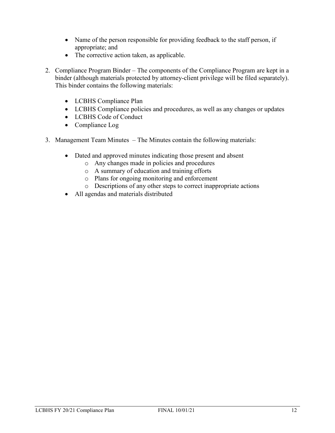- Name of the person responsible for providing feedback to the staff person, if appropriate; and
- The corrective action taken, as applicable.
- 2. Compliance Program Binder The components of the Compliance Program are kept in a binder (although materials protected by attorney-client privilege will be filed separately). This binder contains the following materials:
	- LCBHS Compliance Plan
	- LCBHS Compliance policies and procedures, as well as any changes or updates
	- LCBHS Code of Conduct
	- Compliance Log
- 3. Management Team Minutes The Minutes contain the following materials:
	- Dated and approved minutes indicating those present and absent
		- o Any changes made in policies and procedures
		- o A summary of education and training efforts
		- o Plans for ongoing monitoring and enforcement
		- o Descriptions of any other steps to correct inappropriate actions
	- All agendas and materials distributed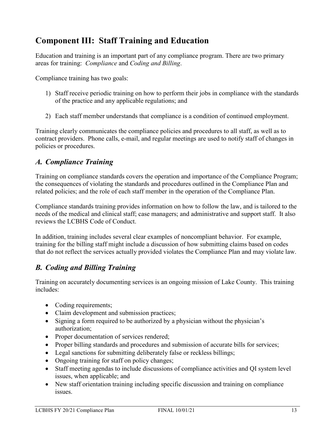### **Component III: Staff Training and Education**

Education and training is an important part of any compliance program. There are two primary areas for training: *Compliance* and *Coding and Billing*.

Compliance training has two goals:

- 1) Staff receive periodic training on how to perform their jobs in compliance with the standards of the practice and any applicable regulations; and
- 2) Each staff member understands that compliance is a condition of continued employment.

Training clearly communicates the compliance policies and procedures to all staff, as well as to contract providers. Phone calls, e-mail, and regular meetings are used to notify staff of changes in policies or procedures.

### *A. Compliance Training*

Training on compliance standards covers the operation and importance of the Compliance Program; the consequences of violating the standards and procedures outlined in the Compliance Plan and related policies; and the role of each staff member in the operation of the Compliance Plan.

Compliance standards training provides information on how to follow the law, and is tailored to the needs of the medical and clinical staff; case managers; and administrative and support staff. It also reviews the LCBHS Code of Conduct.

In addition, training includes several clear examples of noncompliant behavior. For example, training for the billing staff might include a discussion of how submitting claims based on codes that do not reflect the services actually provided violates the Compliance Plan and may violate law.

### *B. Coding and Billing Training*

Training on accurately documenting services is an ongoing mission of Lake County. This training includes:

- Coding requirements;
- Claim development and submission practices;
- Signing a form required to be authorized by a physician without the physician's authorization;
- Proper documentation of services rendered;
- Proper billing standards and procedures and submission of accurate bills for services;
- Legal sanctions for submitting deliberately false or reckless billings;
- Ongoing training for staff on policy changes;
- Staff meeting agendas to include discussions of compliance activities and QI system level issues, when applicable; and
- New staff orientation training including specific discussion and training on compliance issues.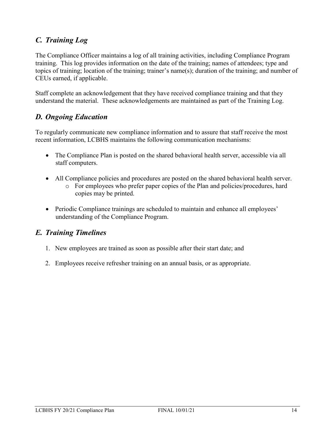### *C. Training Log*

The Compliance Officer maintains a log of all training activities, including Compliance Program training. This log provides information on the date of the training; names of attendees; type and topics of training; location of the training; trainer's name(s); duration of the training; and number of CEUs earned, if applicable.

Staff complete an acknowledgement that they have received compliance training and that they understand the material. These acknowledgements are maintained as part of the Training Log.

### *D. Ongoing Education*

To regularly communicate new compliance information and to assure that staff receive the most recent information, LCBHS maintains the following communication mechanisms:

- The Compliance Plan is posted on the shared behavioral health server, accessible via all staff computers.
- All Compliance policies and procedures are posted on the shared behavioral health server.  $\circ$  For employees who prefer paper copies of the Plan and policies/procedures, hard copies may be printed.
- Periodic Compliance trainings are scheduled to maintain and enhance all employees' understanding of the Compliance Program.

### *E. Training Timelines*

- 1. New employees are trained as soon as possible after their start date; and
- 2. Employees receive refresher training on an annual basis, or as appropriate.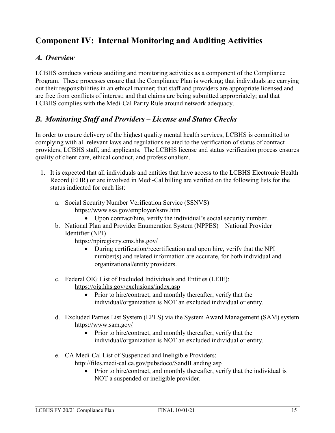### **Component IV: Internal Monitoring and Auditing Activities**

### *A. Overview*

LCBHS conducts various auditing and monitoring activities as a component of the Compliance Program. These processes ensure that the Compliance Plan is working; that individuals are carrying out their responsibilities in an ethical manner; that staff and providers are appropriate licensed and are free from conflicts of interest; and that claims are being submitted appropriately; and that LCBHS complies with the Medi-Cal Parity Rule around network adequacy.

### *B. Monitoring Staff and Providers – License and Status Checks*

In order to ensure delivery of the highest quality mental health services, LCBHS is committed to complying with all relevant laws and regulations related to the verification of status of contract providers, LCBHS staff, and applicants. The LCBHS license and status verification process ensures quality of client care, ethical conduct, and professionalism.

- 1. It is expected that all individuals and entities that have access to the LCBHS Electronic Health Record (EHR) or are involved in Medi-Cal billing are verified on the following lists for the status indicated for each list:
	- a. Social Security Number Verification Service (SSNVS) https://www.ssa.gov/employer/ssnv.htm
		- Upon contract/hire, verify the individual's social security number.
	- b. National Plan and Provider Enumeration System (NPPES) National Provider Identifier (NPI)

https://npiregistry.cms.hhs.gov/

- During certification/recertification and upon hire, verify that the NPI number(s) and related information are accurate, for both individual and organizational/entity providers.
- c. Federal OIG List of Excluded Individuals and Entities (LEIE): <https://oig.hhs.gov/exclusions/index.asp>
	- Prior to hire/contract, and monthly thereafter, verify that the individual/organization is NOT an excluded individual or entity.
- d. Excluded Parties List System (EPLS) via the System Award Management (SAM) system https://www.sam.gov/
	- Prior to hire/contract, and monthly thereafter, verify that the individual/organization is NOT an excluded individual or entity.
- e. CA Medi-Cal List of Suspended and Ineligible Providers: http://files.medi-cal.ca.gov/pubsdoco/SandILanding.asp
	- Prior to hire/contract, and monthly thereafter, verify that the individual is NOT a suspended or ineligible provider.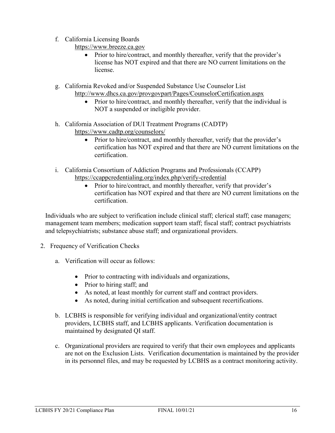f. California Licensing Boards

[https://www.breeze.ca.gov](https://www.breeze.ca.gov/)

- Prior to hire/contract, and monthly thereafter, verify that the provider's license has NOT expired and that there are NO current limitations on the license.
- g. California Revoked and/or Suspended Substance Use Counselor List http://www.dhcs.ca.gov/provgovpart/Pages/CounselorCertification.aspx
	- Prior to hire/contract, and monthly thereafter, verify that the individual is NOT a suspended or ineligible provider.
- h. California Association of DUI Treatment Programs (CADTP) https://www.cadtp.org/counselors/
	- Prior to hire/contract, and monthly thereafter, verify that the provider's certification has NOT expired and that there are NO current limitations on the certification.
- i. California Consortium of Addiction Programs and Professionals (CCAPP) https://ccappcredentialing.org/index.php/verify-credential
	- Prior to hire/contract, and monthly thereafter, verify that provider's certification has NOT expired and that there are NO current limitations on the certification.

Individuals who are subject to verification include clinical staff; clerical staff; case managers; management team members; medication support team staff; fiscal staff; contract psychiatrists and telepsychiatrists; substance abuse staff; and organizational providers.

- 2. Frequency of Verification Checks
	- a. Verification will occur as follows:
		- Prior to contracting with individuals and organizations,
		- Prior to hiring staff; and
		- As noted, at least monthly for current staff and contract providers.
		- As noted, during initial certification and subsequent recertifications.
	- b. LCBHS is responsible for verifying individual and organizational/entity contract providers, LCBHS staff, and LCBHS applicants. Verification documentation is maintained by designated QI staff.
	- c. Organizational providers are required to verify that their own employees and applicants are not on the Exclusion Lists. Verification documentation is maintained by the provider in its personnel files, and may be requested by LCBHS as a contract monitoring activity.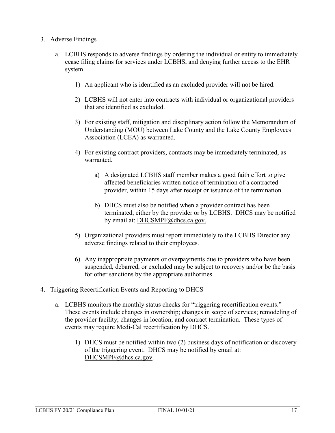- 3. Adverse Findings
	- a. LCBHS responds to adverse findings by ordering the individual or entity to immediately cease filing claims for services under LCBHS, and denying further access to the EHR system.
		- 1) An applicant who is identified as an excluded provider will not be hired.
		- 2) LCBHS will not enter into contracts with individual or organizational providers that are identified as excluded.
		- 3) For existing staff, mitigation and disciplinary action follow the Memorandum of Understanding (MOU) between Lake County and the Lake County Employees Association (LCEA) as warranted.
		- 4) For existing contract providers, contracts may be immediately terminated, as warranted.
			- a) A designated LCBHS staff member makes a good faith effort to give affected beneficiaries written notice of termination of a contracted provider, within 15 days after receipt or issuance of the termination.
			- b) DHCS must also be notified when a provider contract has been terminated, either by the provider or by LCBHS. DHCS may be notified by email at: [DHCSMPF@dhcs.ca.gov.](mailto:DHCSMPF@dhcs.ca.gov)
		- 5) Organizational providers must report immediately to the LCBHS Director any adverse findings related to their employees.
		- 6) Any inappropriate payments or overpayments due to providers who have been suspended, debarred, or excluded may be subject to recovery and/or be the basis for other sanctions by the appropriate authorities.
- 4. Triggering Recertification Events and Reporting to DHCS
	- a. LCBHS monitors the monthly status checks for "triggering recertification events." These events include changes in ownership; changes in scope of services; remodeling of the provider facility; changes in location; and contract termination. These types of events may require Medi-Cal recertification by DHCS.
		- 1) DHCS must be notified within two (2) business days of notification or discovery of the triggering event. DHCS may be notified by email at: [DHCSMPF@dhcs.ca.gov.](mailto:DHCSMPF@dhcs.ca.gov)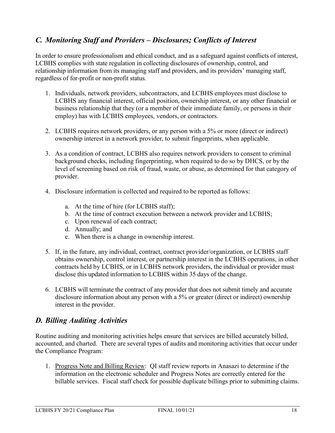### *C. Monitoring Staff and Providers – Disclosures; Conflicts of Interest*

In order to ensure professionalism and ethical conduct, and as a safeguard against conflicts of interest, LCBHS complies with state regulation in collecting disclosures of ownership, control, and relationship information from its managing staff and providers, and its providers' managing staff, regardless of for-profit or non-profit status.

- 1. Individuals, network providers, subcontractors, and LCBHS employees must disclose to LCBHS any financial interest, official position, ownership interest, or any other financial or business relationship that they (or a member of their immediate family, or persons in their employ) has with LCBHS employees, vendors, or contractors.
- 2. LCBHS requires network providers, or any person with a 5% or more (direct or indirect) ownership interest in a network provider, to submit fingerprints, when applicable.
- 3. As a condition of contract, LCBHS also requires network providers to consent to criminal background checks, including fingerprinting, when required to do so by DHCS, or by the level of screening based on risk of fraud, waste, or abuse, as determined for that category of provider.
- 4. Disclosure information is collected and required to be reported as follows:
	- a. At the time of hire (for LCBHS staff);
	- b. At the time of contract execution between a network provider and LCBHS;
	- c. Upon renewal of each contract;
	- d. Annually; and
	- e. When there is a change in ownership interest.
- 5. If, in the future, any individual, contract, contract provider/organization, or LCBHS staff obtains ownership, control interest, or partnership interest in the LCBHS operations, in other contracts held by LCBHS, or in LCBHS network providers, the individual or provider must disclose this updated information to LCBHS within 35 days of the change.
- 6. LCBHS will terminate the contract of any provider that does not submit timely and accurate disclosure information about any person with a 5% or greater (direct or indirect) ownership interest in the provider.

### *D. Billing Auditing Activities*

Routine auditing and monitoring activities helps ensure that services are billed accurately billed, accounted, and charted. There are several types of audits and monitoring activities that occur under the Compliance Program:

1. Progress Note and Billing Review: QI staff review reports in Anasazi to determine if the information on the electronic scheduler and Progress Notes are correctly entered for the billable services. Fiscal staff check for possible duplicate billings prior to submitting claims.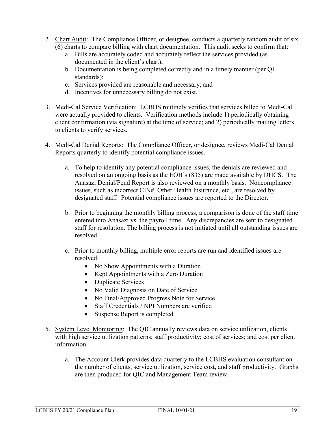- 2. Chart Audit: The Compliance Officer, or designee, conducts a quarterly random audit of six (6) charts to compare billing with chart documentation. This audit seeks to confirm that:
	- a. Bills are accurately coded and accurately reflect the services provided (as documented in the client's chart);
	- b. Documentation is being completed correctly and in a timely manner (per QI standards);
	- c. Services provided are reasonable and necessary; and
	- d. Incentives for unnecessary billing do not exist.
- 3. Medi-Cal Service Verification: LCBHS routinely verifies that services billed to Medi-Cal were actually provided to clients. Verification methods include 1) periodically obtaining client confirmation (via signature) at the time of service; and 2) periodically mailing letters to clients to verify services.
- 4. Medi-Cal Denial Reports: The Compliance Officer, or designee, reviews Medi-Cal Denial Reports quarterly to identify potential compliance issues.
	- a. To help to identify any potential compliance issues, the denials are reviewed and resolved on an ongoing basis as the EOB's (835) are made available by DHCS. The Anasazi Denial/Pend Report is also reviewed on a monthly basis. Noncompliance issues, such as incorrect CIN#, Other Health Insurance, etc., are resolved by designated staff. Potential compliance issues are reported to the Director.
	- b. Prior to beginning the monthly billing process, a comparison is done of the staff time entered into Anasazi vs. the payroll time. Any discrepancies are sent to designated staff for resolution. The billing process is not initiated until all outstanding issues are resolved.
	- c. Prior to monthly billing, multiple error reports are run and identified issues are resolved:
		- No Show Appointments with a Duration
		- Kept Appointments with a Zero Duration
		- Duplicate Services
		- No Valid Diagnosis on Date of Service
		- No Final/Approved Progress Note for Service
		- Staff Credentials / NPI Numbers are verified
		- Suspense Report is completed
- 5. System Level Monitoring: The QIC annually reviews data on service utilization, clients with high service utilization patterns; staff productivity; cost of services; and cost per client information.
	- a. The Account Clerk provides data quarterly to the LCBHS evaluation consultant on the number of clients, service utilization, service cost, and staff productivity. Graphs are then produced for QIC and Management Team review.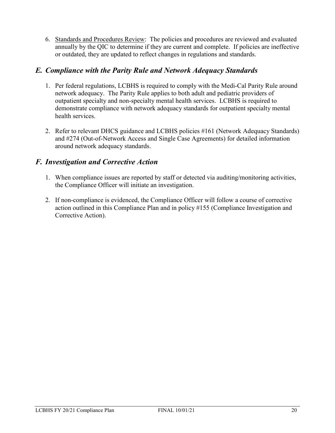6. Standards and Procedures Review: The policies and procedures are reviewed and evaluated annually by the QIC to determine if they are current and complete. If policies are ineffective or outdated, they are updated to reflect changes in regulations and standards.

### *E. Compliance with the Parity Rule and Network Adequacy Standards*

- 1. Per federal regulations, LCBHS is required to comply with the Medi-Cal Parity Rule around network adequacy. The Parity Rule applies to both adult and pediatric providers of outpatient specialty and non-specialty mental health services. LCBHS is required to demonstrate compliance with network adequacy standards for outpatient specialty mental health services.
- 2. Refer to relevant DHCS guidance and LCBHS policies #161 (Network Adequacy Standards) and #274 (Out-of-Network Access and Single Case Agreements) for detailed information around network adequacy standards.

### *F. Investigation and Corrective Action*

- 1. When compliance issues are reported by staff or detected via auditing/monitoring activities, the Compliance Officer will initiate an investigation.
- 2. If non-compliance is evidenced, the Compliance Officer will follow a course of corrective action outlined in this Compliance Plan and in policy #155 (Compliance Investigation and Corrective Action).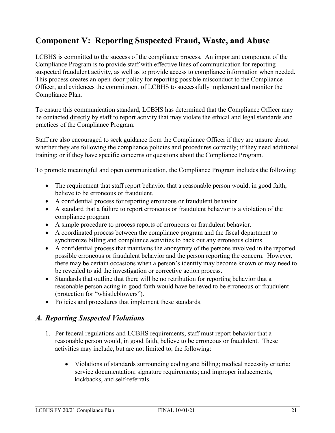### **Component V: Reporting Suspected Fraud, Waste, and Abuse**

LCBHS is committed to the success of the compliance process. An important component of the Compliance Program is to provide staff with effective lines of communication for reporting suspected fraudulent activity, as well as to provide access to compliance information when needed. This process creates an open-door policy for reporting possible misconduct to the Compliance Officer, and evidences the commitment of LCBHS to successfully implement and monitor the Compliance Plan.

To ensure this communication standard, LCBHS has determined that the Compliance Officer may be contacted directly by staff to report activity that may violate the ethical and legal standards and practices of the Compliance Program.

Staff are also encouraged to seek guidance from the Compliance Officer if they are unsure about whether they are following the compliance policies and procedures correctly; if they need additional training; or if they have specific concerns or questions about the Compliance Program.

To promote meaningful and open communication, the Compliance Program includes the following:

- The requirement that staff report behavior that a reasonable person would, in good faith, believe to be erroneous or fraudulent.
- A confidential process for reporting erroneous or fraudulent behavior.
- A standard that a failure to report erroneous or fraudulent behavior is a violation of the compliance program.
- A simple procedure to process reports of erroneous or fraudulent behavior.
- A coordinated process between the compliance program and the fiscal department to synchronize billing and compliance activities to back out any erroneous claims.
- A confidential process that maintains the anonymity of the persons involved in the reported possible erroneous or fraudulent behavior and the person reporting the concern. However, there may be certain occasions when a person's identity may become known or may need to be revealed to aid the investigation or corrective action process.
- Standards that outline that there will be no retribution for reporting behavior that a reasonable person acting in good faith would have believed to be erroneous or fraudulent (protection for "whistleblowers").
- Policies and procedures that implement these standards.

#### *A. Reporting Suspected Violations*

- 1. Per federal regulations and LCBHS requirements, staff must report behavior that a reasonable person would, in good faith, believe to be erroneous or fraudulent. These activities may include, but are not limited to, the following:
	- Violations of standards surrounding coding and billing; medical necessity criteria; service documentation; signature requirements; and improper inducements, kickbacks, and self-referrals.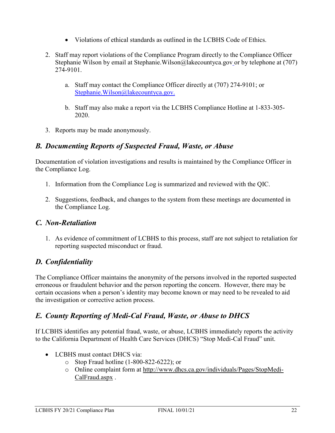- Violations of ethical standards as outlined in the LCBHS Code of Ethics.
- 2. Staff may report violations of the Compliance Program directly to the Compliance Officer Stephanie Wilson by email at Stephanie. Wilson@lakecountyca.gov or by telephone at (707) 274-9101.
	- a. Staff may contact the Compliance Officer directly at (707) 274-9101; or Stephanie.Wilson@lakecountyca.gov.
	- b. Staff may also make a report via the LCBHS Compliance Hotline at 1-833-305- 2020.
- 3. Reports may be made anonymously.

#### *B. Documenting Reports of Suspected Fraud, Waste, or Abuse*

Documentation of violation investigations and results is maintained by the Compliance Officer in the Compliance Log.

- 1. Information from the Compliance Log is summarized and reviewed with the QIC.
- 2. Suggestions, feedback, and changes to the system from these meetings are documented in the Compliance Log.

#### *C. Non-Retaliation*

1. As evidence of commitment of LCBHS to this process, staff are not subject to retaliation for reporting suspected misconduct or fraud.

### *D. Confidentiality*

The Compliance Officer maintains the anonymity of the persons involved in the reported suspected erroneous or fraudulent behavior and the person reporting the concern. However, there may be certain occasions when a person's identity may become known or may need to be revealed to aid the investigation or corrective action process.

### *E. County Reporting of Medi-Cal Fraud, Waste, or Abuse to DHCS*

If LCBHS identifies any potential fraud, waste, or abuse, LCBHS immediately reports the activity to the California Department of Health Care Services (DHCS) "Stop Medi-Cal Fraud" unit.

- LCBHS must contact DHCS via:
	- o Stop Fraud hotline (1-800-822-6222); or
	- o Online complaint form at [http://www.dhcs.ca.gov/individuals/Pages/StopMedi-](http://www.dhcs.ca.gov/individuals/Pages/StopMedi-CalFraud.aspx)[CalFraud.aspx](http://www.dhcs.ca.gov/individuals/Pages/StopMedi-CalFraud.aspx) .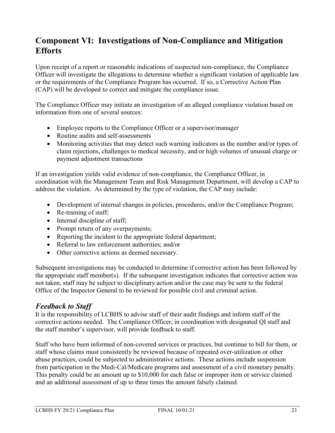### **Component VI: Investigations of Non-Compliance and Mitigation Efforts**

Upon receipt of a report or reasonable indications of suspected non-compliance, the Compliance Officer will investigate the allegations to determine whether a significant violation of applicable law or the requirements of the Compliance Program has occurred. If so, a Corrective Action Plan (CAP) will be developed to correct and mitigate the compliance issue.

The Compliance Officer may initiate an investigation of an alleged compliance violation based on information from one of several sources:

- Employee reports to the Compliance Officer or a supervisor/manager
- Routine audits and self-assessments
- Monitoring activities that may detect such warning indicators as the number and/or types of claim rejections, challenges to medical necessity, and/or high volumes of unusual charge or payment adjustment transactions

If an investigation yields valid evidence of non-compliance, the Compliance Officer, in coordination with the Management Team and Risk Management Department, will develop a CAP to address the violation. As determined by the type of violation, the CAP may include:

- Development of internal changes in policies, procedures, and/or the Compliance Program;
- Re-training of staff;
- Internal discipline of staff;
- Prompt return of any overpayments;
- Reporting the incident to the appropriate federal department;
- Referral to law enforcement authorities; and/or
- Other corrective actions as deemed necessary.

Subsequent investigations may be conducted to determine if corrective action has been followed by the appropriate staff member(s). If the subsequent investigation indicates that corrective action was not taken, staff may be subject to disciplinary action and/or the case may be sent to the federal Office of the Inspector General to be reviewed for possible civil and criminal action.

#### *Feedback to Staff*

It is the responsibility of LCBHS to advise staff of their audit findings and inform staff of the corrective actions needed. The Compliance Officer, in coordination with designated QI staff and the staff member's supervisor, will provide feedback to staff.

Staff who have been informed of non-covered services or practices, but continue to bill for them, or staff whose claims must consistently be reviewed because of repeated over-utilization or other abuse practices, could be subjected to administrative actions. These actions include suspension from participation in the Medi-Cal/Medicare programs and assessment of a civil monetary penalty. This penalty could be an amount up to \$10,000 for each false or improper item or service claimed and an additional assessment of up to three times the amount falsely claimed.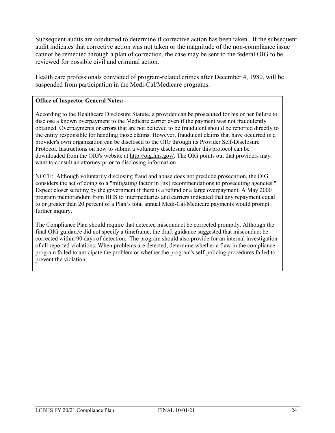Subsequent audits are conducted to determine if corrective action has been taken. If the subsequent audit indicates that corrective action was not taken or the magnitude of the non-compliance issue cannot be remedied through a plan of correction, the case may be sent to the federal OIG to be reviewed for possible civil and criminal action.

Health care professionals convicted of program-related crimes after December 4, 1980, will be suspended from participation in the Medi-Cal/Medicare programs.

#### **Office of Inspector General Notes:**

According to the Healthcare Disclosure Statute, a provider can be prosecuted for his or her failure to disclose a known overpayment to the Medicare carrier even if the payment was not fraudulently obtained. Overpayments or errors that are not believed to be fraudulent should be reported directly to the entity responsible for handling those claims. However, fraudulent claims that have occurred in a provider's own organization can be disclosed to the OIG through its Provider Self-Disclosure Protocol. Instructions on how to submit a voluntary disclosure under this protocol can be downloaded from the OIG's website at [http://oig.hhs.gov/.](http://oig.hhs.gov/) The OIG points out that providers may want to consult an attorney prior to disclosing information.

NOTE: Although voluntarily disclosing fraud and abuse does not preclude prosecution, the OIG considers the act of doing so a "mitigating factor in [its] recommendations to prosecuting agencies." Expect closer scrutiny by the government if there is a refund or a large overpayment. A May 2000 program memorandum from HHS to intermediaries and carriers indicated that any repayment equal to or greater than 20 percent of a Plan's total annual Medi-Cal/Medicare payments would prompt further inquiry.

The Compliance Plan should require that detected misconduct be corrected promptly. Although the final OIG guidance did not specify a timeframe, the draft guidance suggested that misconduct be corrected within 90 days of detection. The program should also provide for an internal investigation of all reported violations. When problems are detected, determine whether a flaw in the compliance program failed to anticipate the problem or whether the program's self-policing procedures failed to prevent the violation.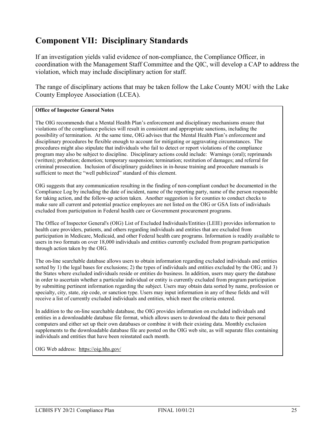### **Component VII: Disciplinary Standards**

If an investigation yields valid evidence of non-compliance, the Compliance Officer, in coordination with the Management Staff Committee and the QIC, will develop a CAP to address the violation, which may include disciplinary action for staff.

The range of disciplinary actions that may be taken follow the Lake County MOU with the Lake County Employee Association (LCEA).

#### **Office of Inspector General Notes**

The OIG recommends that a Mental Health Plan's enforcement and disciplinary mechanisms ensure that violations of the compliance policies will result in consistent and appropriate sanctions, including the possibility of termination. At the same time, OIG advises that the Mental Health Plan's enforcement and disciplinary procedures be flexible enough to account for mitigating or aggravating circumstances. The procedures might also stipulate that individuals who fail to detect or report violations of the compliance program may also be subject to discipline. Disciplinary actions could include: Warnings (oral); reprimands (written); probation; demotion; temporary suspension; termination; restitution of damages; and referral for criminal prosecution. Inclusion of disciplinary guidelines in in-house training and procedure manuals is sufficient to meet the "well publicized" standard of this element.

OIG suggests that any communication resulting in the finding of non-compliant conduct be documented in the Compliance Log by including the date of incident, name of the reporting party, name of the person responsible for taking action, and the follow-up action taken. Another suggestion is for counties to conduct checks to make sure all current and potential practice employees are not listed on the OIG or GSA lists of individuals excluded from participation in Federal health care or Government procurement programs.

The Office of Inspector General's (OIG) List of Excluded Individuals/Entities (LEIE) provides information to health care providers, patients, and others regarding individuals and entities that are excluded from participation in Medicare, Medicaid, and other Federal health care programs. Information is readily available to users in two formats on over 18,000 individuals and entities currently excluded from program participation through action taken by the OIG.

The on-line searchable database allows users to obtain information regarding excluded individuals and entities sorted by 1) the legal bases for exclusions; 2) the types of individuals and entities excluded by the OIG; and 3) the States where excluded individuals reside or entities do business. In addition, users may query the database in order to ascertain whether a particular individual or entity is currently excluded from program participation by submitting pertinent information regarding the subject. Users may obtain data sorted by name, profession or specialty, city, state, zip code, or sanction type. Users may input information in any of these fields and will receive a list of currently excluded individuals and entities, which meet the criteria entered.

In addition to the on-line searchable database, the OIG provides information on excluded individuals and entities in a downloadable database file format, which allows users to download the data to their personal computers and either set up their own databases or combine it with their existing data. Monthly exclusion supplements to the downloadable database file are posted on the OIG web site, as will separate files containing individuals and entities that have been reinstated each month.

OIG Web address: <https://oig.hhs.gov/>